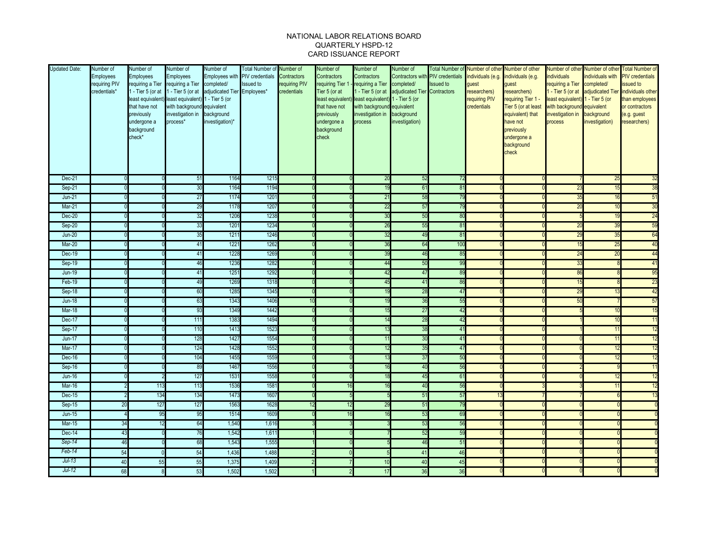## NATIONAL LABOR RELATIONS BOARD QUARTERLY HSPD-12 CARD ISSUANCE REPORT

| <b>Updated Date:</b> | Number of<br><b>Employees</b><br>requiring PIV<br>credentials* | Number of<br>Employees<br>requiring a Tier<br>1 - Tier 5 (or at<br>that have not<br>previously<br>undergone a<br>background<br>check* | Number of<br><b>Employees</b><br>requiring a Tier completed/<br>least equivalent) least equivalent) 1 - Tier 5 (or<br>with background equivalent<br>investigation in background<br>process* | Number of<br>1 - Tier 5 (or at adjudicated Tier Employees*<br>investigation)* | <b>Total Number of</b><br>Employees with PIV credentials<br>Issued to | Number of<br>Contractors<br>requiring PIV<br>credentials | Number of<br>Contractors<br>requiring Tier 1<br>Tier 5 (or at<br>that have not<br>previously<br>undergone a<br>background<br>check | Number of<br>Contractors<br>requiring a Tier completed/<br>least equivalent) least equivalent) 1 - Tier 5 (or<br>with background equivalent<br>investigation in background<br>process | Number of<br>Contractors wit<br>- Tier 5 (or at adjudicated Tier Contractors<br>investigation) | <b>PIV</b> credentials<br><b>Issued</b> to | individuals (e.g.<br>quest<br>esearchers)<br>requiring PIV<br>credentials | Total Number of Number of other Number of other<br>individuals (e.g.<br>guest<br>researchers)<br>requiring Tier 1 -<br>Tier 5 (or at least<br>equivalent) that<br>have not<br>previously<br>undergone a<br>background<br>check | <b>ndividuals</b><br>requiring a Tier completed/<br>least equivalent) 1 - Tier 5 (or<br>with background equivalent<br>investigation in background<br>process | Number of other Number of other<br>ndividuals with<br>investigation) | <b>Total Number of</b><br><b>PIV</b> credentials<br>issued to<br>I - Tier 5 (or at adjudicated Tier individuals other<br>than employees<br>or contractors<br>(e.g. guest<br>researchers) |
|----------------------|----------------------------------------------------------------|---------------------------------------------------------------------------------------------------------------------------------------|---------------------------------------------------------------------------------------------------------------------------------------------------------------------------------------------|-------------------------------------------------------------------------------|-----------------------------------------------------------------------|----------------------------------------------------------|------------------------------------------------------------------------------------------------------------------------------------|---------------------------------------------------------------------------------------------------------------------------------------------------------------------------------------|------------------------------------------------------------------------------------------------|--------------------------------------------|---------------------------------------------------------------------------|--------------------------------------------------------------------------------------------------------------------------------------------------------------------------------------------------------------------------------|--------------------------------------------------------------------------------------------------------------------------------------------------------------|----------------------------------------------------------------------|------------------------------------------------------------------------------------------------------------------------------------------------------------------------------------------|
| Dec-21               |                                                                |                                                                                                                                       | 51                                                                                                                                                                                          | 1164                                                                          | 1215                                                                  |                                                          |                                                                                                                                    | 20                                                                                                                                                                                    | 52                                                                                             | 72                                         |                                                                           |                                                                                                                                                                                                                                |                                                                                                                                                              | 25                                                                   | 32                                                                                                                                                                                       |
| Sep-21               |                                                                |                                                                                                                                       | 30                                                                                                                                                                                          | 1164                                                                          | 1194                                                                  |                                                          |                                                                                                                                    | 19                                                                                                                                                                                    | 61                                                                                             | $\overline{8}$                             |                                                                           |                                                                                                                                                                                                                                | 23                                                                                                                                                           | 1 <sup>L</sup>                                                       | 38                                                                                                                                                                                       |
| $Jun-21$             |                                                                |                                                                                                                                       | 27                                                                                                                                                                                          | 1174                                                                          | 120 <sup>2</sup>                                                      |                                                          |                                                                                                                                    | 21                                                                                                                                                                                    | 58                                                                                             | 79                                         |                                                                           |                                                                                                                                                                                                                                | 35                                                                                                                                                           |                                                                      | 51                                                                                                                                                                                       |
| Mar-21               |                                                                |                                                                                                                                       | 29                                                                                                                                                                                          | 1178                                                                          | 1207                                                                  |                                                          |                                                                                                                                    | 22                                                                                                                                                                                    | 57                                                                                             | 79                                         |                                                                           |                                                                                                                                                                                                                                | 20                                                                                                                                                           | 10                                                                   | 30                                                                                                                                                                                       |
| <b>Dec-20</b>        |                                                                |                                                                                                                                       | 32                                                                                                                                                                                          | 1206<br>120 <sup>2</sup>                                                      | 1238                                                                  |                                                          |                                                                                                                                    | 30                                                                                                                                                                                    | 50                                                                                             | 80                                         |                                                                           |                                                                                                                                                                                                                                |                                                                                                                                                              |                                                                      | 24                                                                                                                                                                                       |
| $Sep-20$             |                                                                |                                                                                                                                       | 33                                                                                                                                                                                          |                                                                               | 1234                                                                  |                                                          |                                                                                                                                    | 26                                                                                                                                                                                    | 55                                                                                             | 8 <sup>7</sup>                             |                                                                           |                                                                                                                                                                                                                                | 20                                                                                                                                                           | 3 <sup>1</sup>                                                       | 59                                                                                                                                                                                       |
| $Jun-20$<br>$Mar-20$ |                                                                |                                                                                                                                       | 35                                                                                                                                                                                          | 1211<br>122 <sup>2</sup>                                                      | 1246<br>1262                                                          |                                                          |                                                                                                                                    | 32                                                                                                                                                                                    | 49<br>64                                                                                       | 81<br>100                                  |                                                                           |                                                                                                                                                                                                                                | 29                                                                                                                                                           | 35                                                                   | 64                                                                                                                                                                                       |
| Dec-19               |                                                                |                                                                                                                                       | 41                                                                                                                                                                                          | 1228                                                                          | 1269                                                                  |                                                          |                                                                                                                                    | 36                                                                                                                                                                                    | 46                                                                                             | 85                                         |                                                                           |                                                                                                                                                                                                                                | 15<br>24                                                                                                                                                     | 25<br>$\overline{2}$                                                 | 40<br>44                                                                                                                                                                                 |
|                      |                                                                |                                                                                                                                       | 41                                                                                                                                                                                          |                                                                               |                                                                       |                                                          |                                                                                                                                    | 39                                                                                                                                                                                    |                                                                                                |                                            |                                                                           |                                                                                                                                                                                                                                |                                                                                                                                                              |                                                                      |                                                                                                                                                                                          |
| Sep-19               |                                                                |                                                                                                                                       | 46                                                                                                                                                                                          | 1236                                                                          | 1282<br>1292                                                          |                                                          |                                                                                                                                    | 44<br>42                                                                                                                                                                              | 50<br>47                                                                                       | 99<br>89                                   |                                                                           |                                                                                                                                                                                                                                | 33<br>86                                                                                                                                                     |                                                                      | 41<br>95                                                                                                                                                                                 |
| $Jun-19$<br>Feb-19   |                                                                |                                                                                                                                       | 41<br>49                                                                                                                                                                                    | 125'<br>1269                                                                  | 1318                                                                  |                                                          |                                                                                                                                    | 45                                                                                                                                                                                    | 41                                                                                             | 86                                         |                                                                           |                                                                                                                                                                                                                                | 15                                                                                                                                                           |                                                                      | 23                                                                                                                                                                                       |
| $Sep-18$             |                                                                |                                                                                                                                       | 60                                                                                                                                                                                          | 1285                                                                          | 1345                                                                  |                                                          |                                                                                                                                    | 19                                                                                                                                                                                    | 28                                                                                             | $\overline{4}$                             |                                                                           |                                                                                                                                                                                                                                | 29                                                                                                                                                           |                                                                      | 42                                                                                                                                                                                       |
| $Jun-18$             |                                                                |                                                                                                                                       | 63                                                                                                                                                                                          | 1343                                                                          | 1406                                                                  | 10                                                       |                                                                                                                                    | 19                                                                                                                                                                                    | 36                                                                                             | 55                                         |                                                                           |                                                                                                                                                                                                                                | 50                                                                                                                                                           |                                                                      | 57                                                                                                                                                                                       |
| Mar-18               |                                                                |                                                                                                                                       | 93                                                                                                                                                                                          | 1349                                                                          | 144'                                                                  |                                                          |                                                                                                                                    | 15                                                                                                                                                                                    | 27                                                                                             | $\overline{4}$                             |                                                                           |                                                                                                                                                                                                                                |                                                                                                                                                              |                                                                      | 15                                                                                                                                                                                       |
| <b>Dec-17</b>        |                                                                |                                                                                                                                       | 111                                                                                                                                                                                         | 1383                                                                          | 1494                                                                  |                                                          |                                                                                                                                    | 14                                                                                                                                                                                    | 28                                                                                             | 42                                         |                                                                           |                                                                                                                                                                                                                                |                                                                                                                                                              |                                                                      | 11                                                                                                                                                                                       |
| Sep-17               |                                                                |                                                                                                                                       | 110                                                                                                                                                                                         | 1413                                                                          | 152                                                                   |                                                          |                                                                                                                                    | 13                                                                                                                                                                                    | 38                                                                                             | 4 <sup>1</sup>                             |                                                                           |                                                                                                                                                                                                                                |                                                                                                                                                              | 1 <sup>1</sup>                                                       | 12                                                                                                                                                                                       |
| $Jun-17$             |                                                                |                                                                                                                                       | 128                                                                                                                                                                                         | 1427                                                                          | 1554                                                                  |                                                          |                                                                                                                                    | 11                                                                                                                                                                                    | 30                                                                                             | 41                                         |                                                                           |                                                                                                                                                                                                                                |                                                                                                                                                              |                                                                      | 12                                                                                                                                                                                       |
| Mar-17               |                                                                |                                                                                                                                       | 124                                                                                                                                                                                         | 1428                                                                          | 1552                                                                  |                                                          |                                                                                                                                    | 12                                                                                                                                                                                    | 35                                                                                             | 47                                         |                                                                           |                                                                                                                                                                                                                                |                                                                                                                                                              |                                                                      | 12                                                                                                                                                                                       |
| $Dec-16$             |                                                                |                                                                                                                                       | 104                                                                                                                                                                                         | 1455                                                                          | 1559                                                                  |                                                          |                                                                                                                                    | 13                                                                                                                                                                                    | 37                                                                                             | 50                                         |                                                                           |                                                                                                                                                                                                                                |                                                                                                                                                              |                                                                      | 12                                                                                                                                                                                       |
| Sep-16               |                                                                |                                                                                                                                       | 89                                                                                                                                                                                          | 1467                                                                          | 1556                                                                  |                                                          |                                                                                                                                    | 16                                                                                                                                                                                    | 40                                                                                             | 56                                         |                                                                           |                                                                                                                                                                                                                                |                                                                                                                                                              |                                                                      | 11                                                                                                                                                                                       |
| <b>Jun-16</b>        |                                                                |                                                                                                                                       | 127                                                                                                                                                                                         | 1531                                                                          | 1558                                                                  |                                                          |                                                                                                                                    | 18                                                                                                                                                                                    | 45                                                                                             | 6 <sup>7</sup>                             |                                                                           |                                                                                                                                                                                                                                |                                                                                                                                                              |                                                                      | 12                                                                                                                                                                                       |
| $Mar-16$             |                                                                | 113                                                                                                                                   | 113                                                                                                                                                                                         | 1536                                                                          | 158 <sup>°</sup>                                                      |                                                          |                                                                                                                                    | 16                                                                                                                                                                                    | 40                                                                                             | 56                                         |                                                                           |                                                                                                                                                                                                                                |                                                                                                                                                              |                                                                      | 12                                                                                                                                                                                       |
| <b>Dec-15</b>        |                                                                | 134                                                                                                                                   | 134                                                                                                                                                                                         | 1473                                                                          | 160                                                                   |                                                          |                                                                                                                                    |                                                                                                                                                                                       | 51                                                                                             | 57                                         |                                                                           |                                                                                                                                                                                                                                |                                                                                                                                                              |                                                                      | 13                                                                                                                                                                                       |
| $Sep-15$             | 20                                                             | 127                                                                                                                                   | 127                                                                                                                                                                                         | 1563                                                                          | 1628                                                                  | 12                                                       |                                                                                                                                    | 29                                                                                                                                                                                    | 51                                                                                             | 79                                         |                                                                           |                                                                                                                                                                                                                                |                                                                                                                                                              |                                                                      |                                                                                                                                                                                          |
| $Jun-15$             |                                                                | 95                                                                                                                                    | 95                                                                                                                                                                                          | 1514                                                                          | 1609                                                                  |                                                          |                                                                                                                                    | 16                                                                                                                                                                                    | 53                                                                                             | 69                                         |                                                                           |                                                                                                                                                                                                                                |                                                                                                                                                              |                                                                      |                                                                                                                                                                                          |
| <b>Mar-15</b>        | 34                                                             |                                                                                                                                       | 64                                                                                                                                                                                          | 1,540                                                                         | 1,616                                                                 |                                                          |                                                                                                                                    |                                                                                                                                                                                       | 53                                                                                             | 56                                         |                                                                           |                                                                                                                                                                                                                                |                                                                                                                                                              |                                                                      |                                                                                                                                                                                          |
| $Dec-14$             | 43                                                             |                                                                                                                                       | 76                                                                                                                                                                                          | 1,542                                                                         | 1,611                                                                 |                                                          |                                                                                                                                    |                                                                                                                                                                                       | 52                                                                                             | 59                                         |                                                                           |                                                                                                                                                                                                                                |                                                                                                                                                              |                                                                      |                                                                                                                                                                                          |
| Sep-14               | 46                                                             |                                                                                                                                       | 68                                                                                                                                                                                          | 1,543                                                                         | 1,555                                                                 |                                                          |                                                                                                                                    |                                                                                                                                                                                       | 46                                                                                             | $5^{\circ}$                                |                                                                           |                                                                                                                                                                                                                                |                                                                                                                                                              |                                                                      |                                                                                                                                                                                          |
| Feb-14               | 54                                                             |                                                                                                                                       | 54                                                                                                                                                                                          | 1,436                                                                         | 1,488                                                                 |                                                          |                                                                                                                                    |                                                                                                                                                                                       | 41                                                                                             | 46                                         |                                                                           |                                                                                                                                                                                                                                |                                                                                                                                                              |                                                                      |                                                                                                                                                                                          |
| $Jul-13$             | 40                                                             | 55                                                                                                                                    | 55                                                                                                                                                                                          | 1,375                                                                         | 1,409                                                                 |                                                          |                                                                                                                                    | 10                                                                                                                                                                                    | 40                                                                                             | 45                                         |                                                                           |                                                                                                                                                                                                                                |                                                                                                                                                              |                                                                      |                                                                                                                                                                                          |
| $Jul-12$             | 68                                                             |                                                                                                                                       | 53                                                                                                                                                                                          | 1,502                                                                         | 1,502                                                                 |                                                          |                                                                                                                                    | 17                                                                                                                                                                                    | 36                                                                                             | 36                                         |                                                                           |                                                                                                                                                                                                                                |                                                                                                                                                              |                                                                      |                                                                                                                                                                                          |